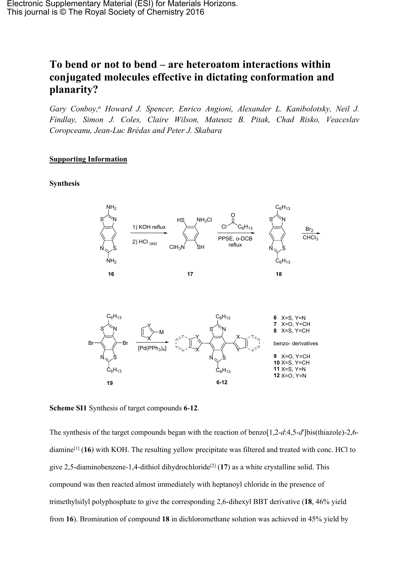# **To bend or not to bend – are heteroatom interactions within conjugated molecules effective in dictating conformation and planarity?**

*Gary Conboy,<sup>a</sup> Howard J. Spencer, Enrico Angioni, Alexander L. Kanibolotsky, Neil J. Findlay, Simon J. Coles, Claire Wilson, Mateusz B. Pitak, Chad Risko, Veaceslav Coropceanu, Jean-Luc Brédas and Peter J. Skabara*

## **Supporting Information**

### **Synthesis**



**Scheme SI1** Synthesis of target compounds **6**-**12**.

The synthesis of the target compounds began with the reaction of benzo[1,2-*d*:4,5-*d*']bis(thiazole)-2,6 diamine[[1](#page-18-0)] (**16**) with KOH. The resulting yellow precipitate was filtered and treated with conc. HCl to give 2,5-diaminobenzene-1,4-dithiol dihydrochloride<sup>[\[2\]](#page-18-1)</sup> (17) as a white crystalline solid. This compound was then reacted almost immediately with heptanoyl chloride in the presence of trimethylsilyl polyphosphate to give the corresponding 2,6-dihexyl BBT derivative (**18**, 46% yield from **16**). Bromination of compound **18** in dichloromethane solution was achieved in 45% yield by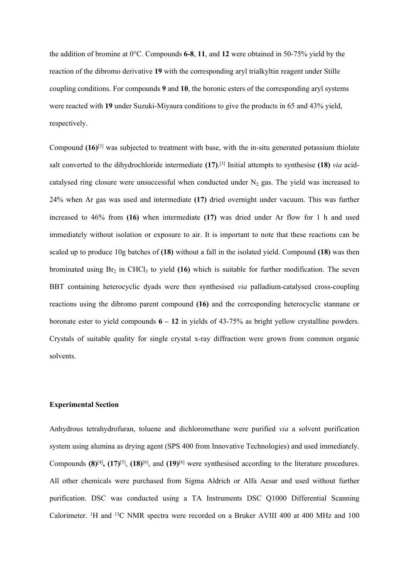the addition of bromine at 0°C. Compounds **6-8**, **11**, and **12** were obtained in 50-75% yield by the reaction of the dibromo derivative **19** with the corresponding aryl trialkyltin reagent under Stille coupling conditions. For compounds **9** and **10**, the boronic esters of the corresponding aryl systems were reacted with **19** under Suzuki-Miyaura conditions to give the products in 65 and 43% yield, respectively.

Compound **(16)**[[3](#page-18-2)] was subjected to treatment with base, with the in-situ generated potassium thiolate salt converted to the dihydrochloride intermediate **(17)**. [\[3\]](#page-18-2) Initial attempts to synthesise **(18)** *via* acidcatalysed ring closure were unsuccessful when conducted under  $N_2$  gas. The yield was increased to 24% when Ar gas was used and intermediate **(17)** dried overnight under vacuum. This was further increased to 46% from **(16)** when intermediate **(17)** was dried under Ar flow for 1 h and used immediately without isolation or exposure to air. It is important to note that these reactions can be scaled up to produce 10g batches of **(18)** without a fall in the isolated yield. Compound **(18)** was then brominated using Br<sub>2</sub> in CHCl<sub>3</sub> to yield (16) which is suitable for further modification. The seven BBT containing heterocyclic dyads were then synthesised *via* palladium-catalysed cross-coupling reactions using the dibromo parent compound **(16)** and the corresponding heterocyclic stannane or boronate ester to yield compounds **6 – 12** in yields of 43-75% as bright yellow crystalline powders. Crystals of suitable quality for single crystal x-ray diffraction were grown from common organic solvents.

## **Experimental Section**

Anhydrous tetrahydrofuran, toluene and dichloromethane were purified *via* a solvent purification system using alumina as drying agent (SPS 400 from Innovative Technologies) and used immediately. Compounds  $(8)^{[4]}$  $(8)^{[4]}$  $(8)^{[4]}$ ,  $(17)^{[5]}$  $(17)^{[5]}$  $(17)^{[5]}$ ,  $(18)^{[6]}$  $(18)^{[6]}$  $(18)^{[6]}$ , and  $(19)^{[6]}$  $(19)^{[6]}$  $(19)^{[6]}$  were synthesised according to the literature procedures. All other chemicals were purchased from Sigma Aldrich or Alfa Aesar and used without further purification. DSC was conducted using a TA Instruments DSC Q1000 Differential Scanning Calorimeter. <sup>1</sup>H and <sup>13</sup>C NMR spectra were recorded on a Bruker AVIII 400 at 400 MHz and 100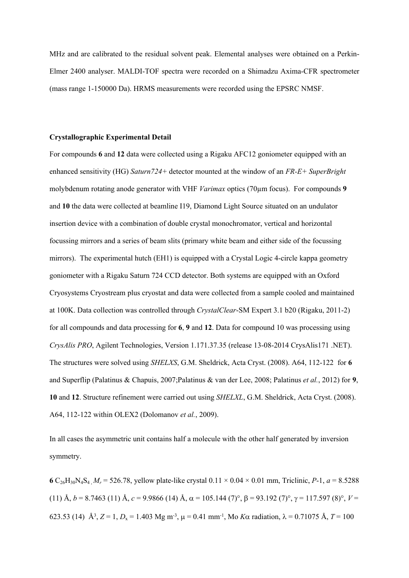MHz and are calibrated to the residual solvent peak. Elemental analyses were obtained on a Perkin-Elmer 2400 analyser. MALDI-TOF spectra were recorded on a Shimadzu Axima-CFR spectrometer (mass range 1-150000 Da). HRMS measurements were recorded using the EPSRC NMSF.

#### **Crystallographic Experimental Detail**

For compounds **6** and **12** data were collected using a Rigaku AFC12 goniometer equipped with an enhanced sensitivity (HG) *Saturn724+* detector mounted at the window of an *FR-E+ SuperBright* molybdenum rotating anode generator with VHF *Varimax* optics (70µm focus). For compounds **9** and **10** the data were collected at beamline I19, Diamond Light Source situated on an undulator insertion device with a combination of double crystal monochromator, vertical and horizontal focussing mirrors and a series of beam slits (primary white beam and either side of the focussing mirrors). The experimental hutch (EH1) is equipped with a Crystal Logic 4-circle kappa geometry goniometer with a Rigaku Saturn 724 CCD detector. Both systems are equipped with an Oxford Cryosystems Cryostream plus cryostat and data were collected from a sample cooled and maintained at 100K. Data collection was controlled through *CrystalClear*-SM Expert 3.1 b20 (Rigaku, 2011-2) for all compounds and data processing for **6**, **9** and **12**. Data for compound 10 was processing using *CrysAlis PRO*, Agilent Technologies, Version 1.171.37.35 (release 13-08-2014 CrysAlis171 .NET). The structures were solved using *SHELXS*, G.M. Sheldrick, Acta Cryst. (2008). A64, 112-122 for **6** and Superflip (Palatinus & Chapuis, 2007;Palatinus & van der Lee, 2008; Palatinus *et al.*, 2012) for **9**, **10** and **12**. Structure refinement were carried out using *SHELXL*, G.M. Sheldrick, Acta Cryst. (2008). A64, 112-122 within OLEX2 (Dolomanov *et al.*, 2009).

In all cases the asymmetric unit contains half a molecule with the other half generated by inversion symmetry.

**6**  $C_{26}H_{30}N_4S_4$   $M_r = 526.78$ , yellow plate-like crystal  $0.11 \times 0.04 \times 0.01$  mm, Triclinic, *P*-1,  $a = 8.5288$ (11) Å,  $b = 8.7463$  (11) Å,  $c = 9.9866$  (14) Å,  $\alpha = 105.144$  (7)°,  $\beta = 93.192$  (7)°,  $\gamma = 117.597$  (8)°,  $V =$ 623.53 (14)  $\hat{A}^3$ , *Z* = 1, *D*<sub>x</sub> = 1.403 Mg m<sup>-3</sup>,  $\mu$  = 0.41 mm<sup>-1</sup>, Mo *K* $\alpha$  radiation,  $\lambda$  = 0.71075 Å, *T* = 100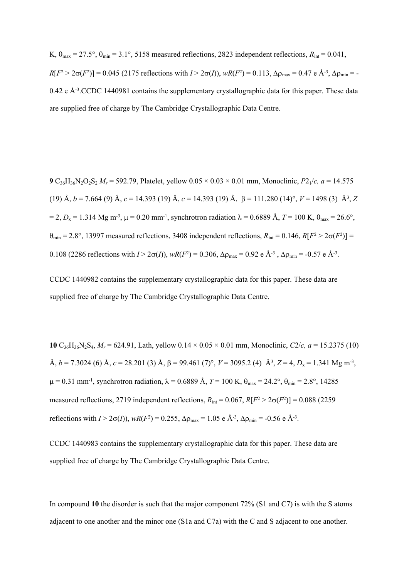K,  $\theta_{\text{max}} = 27.5^{\circ}$ ,  $\theta_{\text{min}} = 3.1^{\circ}$ , 5158 measured reflections, 2823 independent reflections,  $R_{\text{int}} = 0.041$ ,  $R[F^2 > 2\sigma(F^2)] = 0.045$  (2175 reflections with  $I > 2\sigma(I)$ ),  $wR(F^2) = 0.113$ ,  $\Delta \rho_{\text{max}} = 0.47$  e Å<sup>-3</sup>,  $\Delta \rho_{\text{min}} = -1.01$ 0.42 e Å<sup>-3</sup>.CCDC 1440981 contains the supplementary crystallographic data for this paper. These data are supplied free of charge by The Cambridge Crystallographic Data Centre.

**9**  $C_{36}H_{36}N_2O_2S_2 M_r = 592.79$ , Platelet, yellow  $0.05 \times 0.03 \times 0.01$  mm, Monoclinic,  $P2_1/c$ ,  $a = 14.575$ (19) Å,  $b = 7.664$  (9) Å,  $c = 14.393$  (19) Å,  $c = 14.393$  (19) Å,  $\beta = 111.280$  (14)°,  $V = 1498$  (3) Å<sup>3</sup>, Z  $= 2, D_x = 1.314$  Mg m<sup>-3</sup>,  $\mu = 0.20$  mm<sup>-1</sup>, synchrotron radiation  $\lambda = 0.6889$  Å,  $T = 100$  K,  $\theta_{\text{max}} = 26.6^{\circ}$ ,  $\theta_{\text{min}} = 2.8^{\circ}$ , 13997 measured reflections, 3408 independent reflections,  $R_{\text{int}} = 0.146$ ,  $R[F^2 > 2\sigma(F^2)]$ 0.108 (2286 reflections with  $I > 2\sigma(I)$ ),  $wR(F^2) = 0.306$ ,  $\Delta \rho_{\text{max}} = 0.92$  e Å<sup>-3</sup>,  $\Delta \rho_{\text{min}} = -0.57$  e Å<sup>-3</sup>.

CCDC 1440982 contains the supplementary crystallographic data for this paper. These data are supplied free of charge by The Cambridge Crystallographic Data Centre.

**10**  $C_{36}H_{36}N_2S_4$ ,  $M_r = 624.91$ , Lath, yellow  $0.14 \times 0.05 \times 0.01$  mm, Monoclinic,  $C_2/c$ ,  $a = 15.2375$  (10)  $\AA$ ,  $b = 7.3024$  (6)  $\AA$ ,  $c = 28.201$  (3)  $\AA$ ,  $\beta = 99.461$  (7)°,  $V = 3095.2$  (4)  $\AA$ <sup>3</sup>,  $Z = 4$ ,  $D_x = 1.341$  Mg m<sup>-3</sup>,  $\mu$  = 0.31 mm<sup>-1</sup>, synchrotron radiation,  $\lambda$  = 0.6889 Å, *T* = 100 K,  $\theta_{\text{max}}$  = 24.2°,  $\theta_{\text{min}}$  = 2.8°, 14285 measured reflections, 2719 independent reflections,  $R_{int} = 0.067$ ,  $R[F^2 > 2\sigma(F^2)] = 0.088$  (2259 reflections with  $I > 2\sigma(I)$ ),  $wR(F^2) = 0.255$ ,  $\Delta \rho_{\text{max}} = 1.05$  e Å<sup>-3</sup>,  $\Delta \rho_{\text{min}} = -0.56$  e Å<sup>-3</sup>.

CCDC 1440983 contains the supplementary crystallographic data for this paper. These data are supplied free of charge by The Cambridge Crystallographic Data Centre.

In compound **10** the disorder is such that the major component 72% (S1 and C7) is with the S atoms adjacent to one another and the minor one (S1a and C7a) with the C and S adjacent to one another.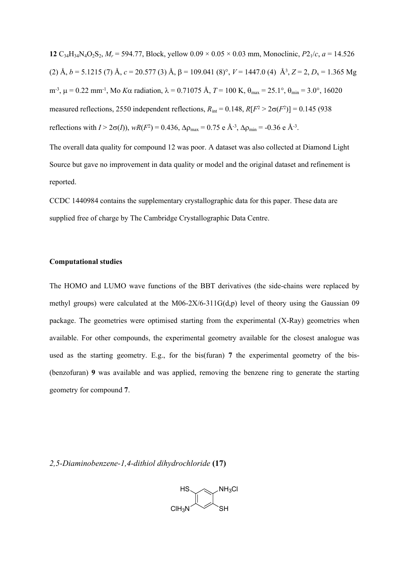**12**  $C_{34}H_{34}N_4O_2S_2$ ,  $M_r = 594.77$ , Block, yellow  $0.09 \times 0.05 \times 0.03$  mm, Monoclinic,  $P2_1/c$ ,  $a = 14.526$ (2) Å,  $b = 5.1215$  (7) Å,  $c = 20.577$  (3) Å,  $\beta = 109.041$  (8)°,  $V = 1447.0$  (4) Å<sup>3</sup>,  $Z = 2$ ,  $D_x = 1.365$  Mg m<sup>-3</sup>, μ = 0.22 mm<sup>-1</sup>, Μο *K*α radiation, λ = 0.71075 Å, *T* = 100 K, θ<sub>max</sub> = 25.1°, θ<sub>min</sub> = 3.0°, 16020 measured reflections, 2550 independent reflections,  $R_{\text{int}} = 0.148$ ,  $R[F^2 > 2\sigma(F^2)] = 0.145$  (938) reflections with  $I > 2\sigma(I)$ ),  $wR(F^2) = 0.436$ ,  $\Delta \rho_{\text{max}} = 0.75$  e  $\AA^{-3}$ ,  $\Delta \rho_{\text{min}} = -0.36$  e  $\AA^{-3}$ .

The overall data quality for compound 12 was poor. A dataset was also collected at Diamond Light Source but gave no improvement in data quality or model and the original dataset and refinement is reported.

CCDC 1440984 contains the supplementary crystallographic data for this paper. These data are supplied free of charge by The Cambridge Crystallographic Data Centre.

## **Computational studies**

The HOMO and LUMO wave functions of the BBT derivatives (the side-chains were replaced by methyl groups) were calculated at the M06-2X/6-311G(d,p) level of theory using the Gaussian 09 package. The geometries were optimised starting from the experimental (X-Ray) geometries when available. For other compounds, the experimental geometry available for the closest analogue was used as the starting geometry. E.g., for the bis(furan) **7** the experimental geometry of the bis- (benzofuran) **9** was available and was applied, removing the benzene ring to generate the starting geometry for compound **7**.

*2,5-Diaminobenzene-1,4-dithiol dihydrochloride* **(17)**

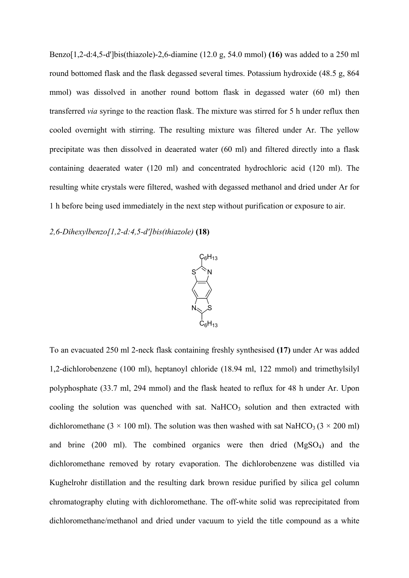Benzo[1,2-d:4,5-d']bis(thiazole)-2,6-diamine (12.0 g, 54.0 mmol) **(16)** was added to a 250 ml round bottomed flask and the flask degassed several times. Potassium hydroxide (48.5 g, 864 mmol) was dissolved in another round bottom flask in degassed water (60 ml) then transferred *via* syringe to the reaction flask. The mixture was stirred for 5 h under reflux then cooled overnight with stirring. The resulting mixture was filtered under Ar. The yellow precipitate was then dissolved in deaerated water (60 ml) and filtered directly into a flask containing deaerated water (120 ml) and concentrated hydrochloric acid (120 ml). The resulting white crystals were filtered, washed with degassed methanol and dried under Ar for 1 h before being used immediately in the next step without purification or exposure to air.

# *2,6-Dihexylbenzo[1,2-d:4,5-d']bis(thiazole)* **(18)**



To an evacuated 250 ml 2-neck flask containing freshly synthesised **(17)** under Ar was added 1,2-dichlorobenzene (100 ml), heptanoyl chloride (18.94 ml, 122 mmol) and trimethylsilyl polyphosphate (33.7 ml, 294 mmol) and the flask heated to reflux for 48 h under Ar. Upon cooling the solution was quenched with sat. NaHCO<sub>3</sub> solution and then extracted with dichloromethane (3  $\times$  100 ml). The solution was then washed with sat NaHCO<sub>3</sub> (3  $\times$  200 ml) and brine (200 ml). The combined organics were then dried  $(MgSO<sub>4</sub>)$  and the dichloromethane removed by rotary evaporation. The dichlorobenzene was distilled via Kughelrohr distillation and the resulting dark brown residue purified by silica gel column chromatography eluting with dichloromethane. The off-white solid was reprecipitated from dichloromethane/methanol and dried under vacuum to yield the title compound as a white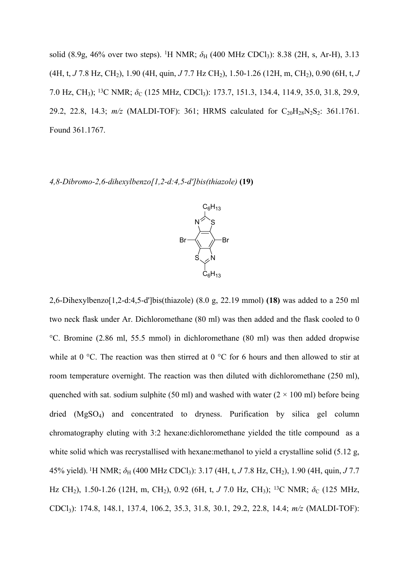solid (8.9g, 46% over two steps). <sup>1</sup>H NMR;  $\delta_H$  (400 MHz CDCl<sub>3</sub>): 8.38 (2H, s, Ar-H), 3.13 (4H, t, *J* 7.8 Hz, CH2), 1.90 (4H, quin, *J* 7.7 Hz CH2), 1.50-1.26 (12H, m, CH2), 0.90 (6H, t, *J* 7.0 Hz, CH<sub>3</sub>); <sup>13</sup>C NMR; δ<sub>C</sub> (125 MHz, CDCl<sub>3</sub>): 173.7, 151.3, 134.4, 114.9, 35.0, 31.8, 29.9, 29.2, 22.8, 14.3;  $m/z$  (MALDI-TOF): 361; HRMS calculated for C<sub>20</sub>H<sub>28</sub>N<sub>2</sub>S<sub>2</sub>: 361.1761. Found 361.1767.

*4,8-Dibromo-2,6-dihexylbenzo[1,2-d:4,5-d']bis(thiazole)* **(19)**



2,6-Dihexylbenzo[1,2-d:4,5-d']bis(thiazole) (8.0 g, 22.19 mmol) **(18)** was added to a 250 ml two neck flask under Ar. Dichloromethane (80 ml) was then added and the flask cooled to 0 °C. Bromine (2.86 ml, 55.5 mmol) in dichloromethane (80 ml) was then added dropwise while at 0  $^{\circ}$ C. The reaction was then stirred at 0  $^{\circ}$ C for 6 hours and then allowed to stir at room temperature overnight. The reaction was then diluted with dichloromethane (250 ml), quenched with sat. sodium sulphite (50 ml) and washed with water ( $2 \times 100$  ml) before being dried (MgSO<sub>4</sub>) and concentrated to dryness. Purification by silica gel column chromatography eluting with 3:2 hexane:dichloromethane yielded the title compound as a white solid which was recrystallised with hexane: methanol to yield a crystalline solid (5.12 g, 45% yield). <sup>1</sup>H NMR; δ<sub>H</sub> (400 MHz CDCl<sub>3</sub>): 3.17 (4H, t, *J* 7.8 Hz, CH<sub>2</sub>), 1.90 (4H, quin, *J* 7.7 Hz CH<sub>2</sub>), 1.50-1.26 (12H, m, CH<sub>2</sub>), 0.92 (6H, t, *J* 7.0 Hz, CH<sub>3</sub>); <sup>13</sup>C NMR; δ<sub>C</sub> (125 MHz, CDCl3): 174.8, 148.1, 137.4, 106.2, 35.3, 31.8, 30.1, 29.2, 22.8, 14.4; *m/z* (MALDI-TOF):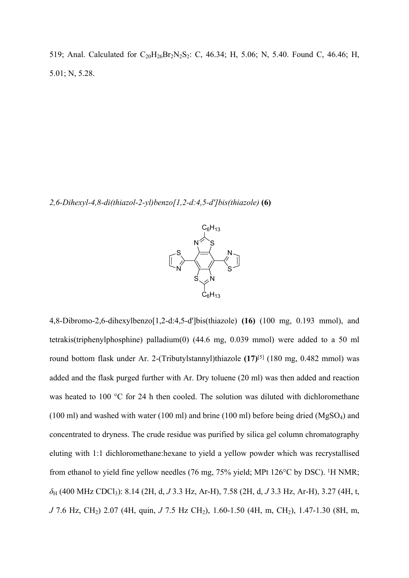519; Anal. Calculated for  $C_{20}H_{26}Br_2N_2S_2$ : C, 46.34; H, 5.06; N, 5.40. Found C, 46.46; H, 5.01; N, 5.28.

*2,6-Dihexyl-4,8-di(thiazol-2-yl)benzo[1,2-d:4,5-d']bis(thiazole)* **(6)**



4,8-Dibromo-2,6-dihexylbenzo[1,2-d:4,5-d']bis(thiazole) **(16)** (100 mg, 0.193 mmol), and tetrakis(triphenylphosphine) palladium(0) (44.6 mg, 0.039 mmol) were added to a 50 ml round bottom flask under Ar. 2-(Tributylstannyl)thiazole **(17)**[[5\]](#page-18-4) (180 mg, 0.482 mmol) was added and the flask purged further with Ar. Dry toluene (20 ml) was then added and reaction was heated to 100 °C for 24 h then cooled. The solution was diluted with dichloromethane (100 ml) and washed with water (100 ml) and brine (100 ml) before being dried ( $MgSO<sub>4</sub>$ ) and concentrated to dryness. The crude residue was purified by silica gel column chromatography eluting with 1:1 dichloromethane:hexane to yield a yellow powder which was recrystallised from ethanol to yield fine yellow needles (76 mg, 75% yield; MPt 126°C by DSC). <sup>1</sup>H NMR; *δ*<sup>H</sup> (400 MHz CDCl3): 8.14 (2H, d, *J* 3.3 Hz, Ar-H), 7.58 (2H, d, *J* 3.3 Hz, Ar-H), 3.27 (4H, t, *J* 7.6 Hz, CH<sub>2</sub>) 2.07 (4H, quin, *J* 7.5 Hz CH<sub>2</sub>), 1.60-1.50 (4H, m, CH<sub>2</sub>), 1.47-1.30 (8H, m,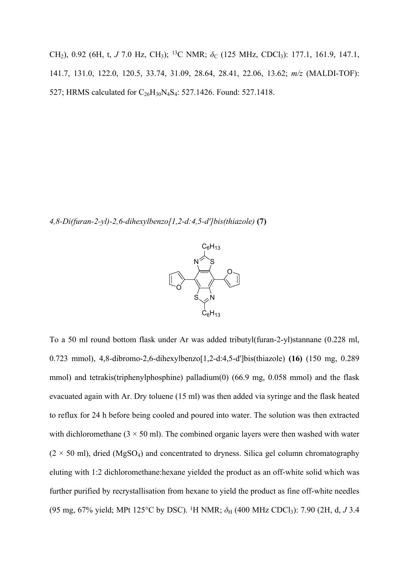CH<sub>2</sub>), 0.92 (6H, t, *J* 7.0 Hz, CH<sub>3</sub>); <sup>13</sup>C NMR;  $δ$ <sub>C</sub> (125 MHz, CDCl<sub>3</sub>): 177.1, 161.9, 147.1, 141.7, 131.0, 122.0, 120.5, 33.74, 31.09, 28.64, 28.41, 22.06, 13.62; *m/z* (MALDI-TOF): 527; HRMS calculated for C<sub>26</sub>H<sub>30</sub>N<sub>4</sub>S<sub>4</sub>: 527.1426. Found: 527.1418.

*4,8-Di(furan-2-yl)-2,6-dihexylbenzo[1,2-d:4,5-d']bis(thiazole)* **(7)**



To a 50 ml round bottom flask under Ar was added tributyl(furan-2-yl)stannane (0.228 ml, 0.723 mmol), 4,8-dibromo-2,6-dihexylbenzo[1,2-d:4,5-d']bis(thiazole) **(16)** (150 mg, 0.289 mmol) and tetrakis(triphenylphosphine) palladium(0) (66.9 mg, 0.058 mmol) and the flask evacuated again with Ar. Dry toluene (15 ml) was then added via syringe and the flask heated to reflux for 24 h before being cooled and poured into water. The solution was then extracted with dichloromethane  $(3 \times 50 \text{ ml})$ . The combined organic layers were then washed with water  $(2 \times 50 \text{ ml})$ , dried (MgSO<sub>4</sub>) and concentrated to dryness. Silica gel column chromatography eluting with 1:2 dichloromethane:hexane yielded the product as an off-white solid which was further purified by recrystallisation from hexane to yield the product as fine off-white needles (95 mg, 67% yield; MPt 125°C by DSC). <sup>1</sup>H NMR; δ<sub>H</sub> (400 MHz CDCl<sub>3</sub>): 7.90 (2H, d, *J* 3.4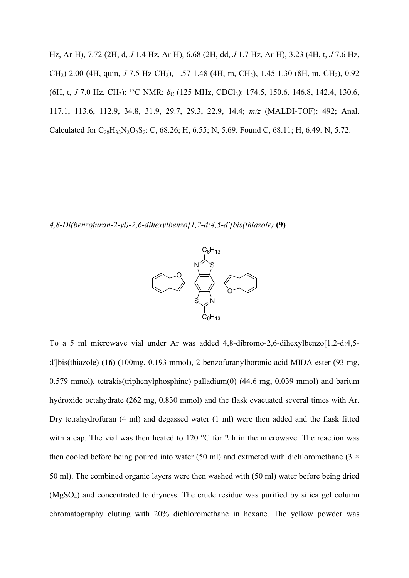Hz, Ar-H), 7.72 (2H, d, *J* 1.4 Hz, Ar-H), 6.68 (2H, dd, *J* 1.7 Hz, Ar-H), 3.23 (4H, t, *J* 7.6 Hz, CH<sub>2</sub>) 2.00 (4H, quin, *J* 7.5 Hz CH<sub>2</sub>), 1.57-1.48 (4H, m, CH<sub>2</sub>), 1.45-1.30 (8H, m, CH<sub>2</sub>), 0.92 (6H, t, *J* 7.0 Hz, CH<sub>3</sub>); <sup>13</sup>C NMR; *δ*<sub>C</sub> (125 MHz, CDCl<sub>3</sub>): 174.5, 150.6, 146.8, 142.4, 130.6, 117.1, 113.6, 112.9, 34.8, 31.9, 29.7, 29.3, 22.9, 14.4; *m/z* (MALDI-TOF): 492; Anal. Calculated for  $C_{28}H_{32}N_2O_2S_2$ : C, 68.26; H, 6.55; N, 5.69. Found C, 68.11; H, 6.49; N, 5.72.

*4,8-Di(benzofuran-2-yl)-2,6-dihexylbenzo[1,2-d:4,5-d']bis(thiazole)* **(9)**



To a 5 ml microwave vial under Ar was added 4,8-dibromo-2,6-dihexylbenzo[1,2-d:4,5 d']bis(thiazole) **(16)** (100mg, 0.193 mmol), 2-benzofuranylboronic acid MIDA ester (93 mg, 0.579 mmol), tetrakis(triphenylphosphine) palladium(0) (44.6 mg, 0.039 mmol) and barium hydroxide octahydrate (262 mg, 0.830 mmol) and the flask evacuated several times with Ar. Dry tetrahydrofuran (4 ml) and degassed water (1 ml) were then added and the flask fitted with a cap. The vial was then heated to 120 °C for 2 h in the microwave. The reaction was then cooled before being poured into water (50 ml) and extracted with dichloromethane (3  $\times$ 50 ml). The combined organic layers were then washed with (50 ml) water before being dried (MgSO4) and concentrated to dryness. The crude residue was purified by silica gel column chromatography eluting with 20% dichloromethane in hexane. The yellow powder was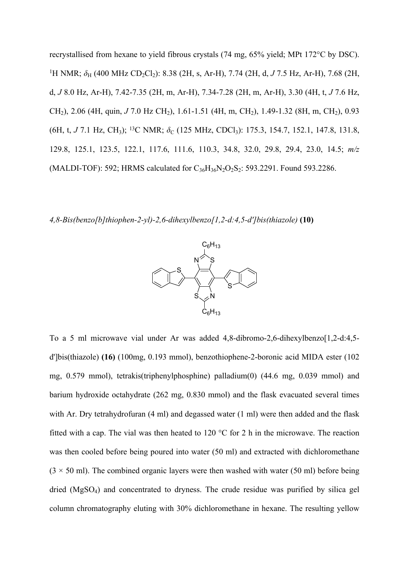recrystallised from hexane to yield fibrous crystals (74 mg, 65% yield; MPt 172°C by DSC). <sup>1</sup>H NMR;  $\delta_H$  (400 MHz CD<sub>2</sub>Cl<sub>2</sub>): 8.38 (2H, s, Ar-H), 7.74 (2H, d, J 7.5 Hz, Ar-H), 7.68 (2H, d, *J* 8.0 Hz, Ar-H), 7.42-7.35 (2H, m, Ar-H), 7.34-7.28 (2H, m, Ar-H), 3.30 (4H, t, *J* 7.6 Hz, CH<sub>2</sub>), 2.06 (4H, quin, *J* 7.0 Hz CH<sub>2</sub>), 1.61-1.51 (4H, m, CH<sub>2</sub>), 1.49-1.32 (8H, m, CH<sub>2</sub>), 0.93 (6H, t, *J* 7.1 Hz, CH<sub>3</sub>); <sup>13</sup>C NMR; *δ*<sub>C</sub> (125 MHz, CDCl<sub>3</sub>): 175.3, 154.7, 152.1, 147.8, 131.8, 129.8, 125.1, 123.5, 122.1, 117.6, 111.6, 110.3, 34.8, 32.0, 29.8, 29.4, 23.0, 14.5; *m/z* (MALDI-TOF): 592; HRMS calculated for  $C_{36}H_{36}N_2O_2S_2$ : 593.2291. Found 593.2286.

*4,8-Bis(benzo[b]thiophen-2-yl)-2,6-dihexylbenzo[1,2-d:4,5-d']bis(thiazole)* **(10)**



To a 5 ml microwave vial under Ar was added 4,8-dibromo-2,6-dihexylbenzo[1,2-d:4,5 d']bis(thiazole) **(16)** (100mg, 0.193 mmol), benzothiophene-2-boronic acid MIDA ester (102 mg, 0.579 mmol), tetrakis(triphenylphosphine) palladium(0) (44.6 mg, 0.039 mmol) and barium hydroxide octahydrate (262 mg, 0.830 mmol) and the flask evacuated several times with Ar. Dry tetrahydrofuran (4 ml) and degassed water (1 ml) were then added and the flask fitted with a cap. The vial was then heated to 120 °C for 2 h in the microwave. The reaction was then cooled before being poured into water (50 ml) and extracted with dichloromethane  $(3 \times 50 \text{ ml})$ . The combined organic layers were then washed with water (50 ml) before being dried (MgSO4) and concentrated to dryness. The crude residue was purified by silica gel column chromatography eluting with 30% dichloromethane in hexane. The resulting yellow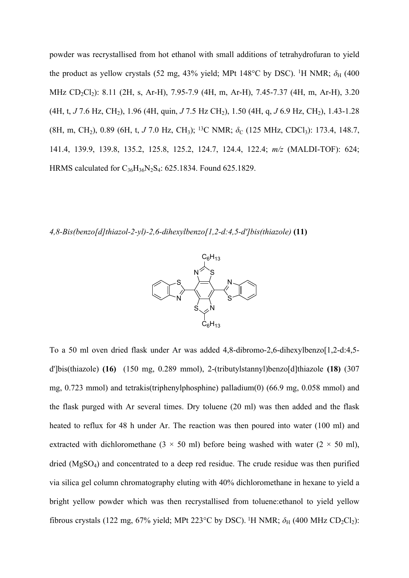powder was recrystallised from hot ethanol with small additions of tetrahydrofuran to yield the product as yellow crystals (52 mg, 43% yield; MPt 148°C by DSC). <sup>1</sup>H NMR;  $\delta_H$  (400 MHz CD<sub>2</sub>Cl<sub>2</sub>): 8.11 (2H, s, Ar-H), 7.95-7.9 (4H, m, Ar-H), 7.45-7.37 (4H, m, Ar-H), 3.20 (4H, t, *J* 7.6 Hz, CH<sub>2</sub>), 1.96 (4H, quin, *J* 7.5 Hz CH<sub>2</sub>), 1.50 (4H, q, *J* 6.9 Hz, CH<sub>2</sub>), 1.43-1.28 (8H, m, CH<sub>2</sub>), 0.89 (6H, t, *J* 7.0 Hz, CH<sub>3</sub>); <sup>13</sup>C NMR;  $\delta$ <sub>C</sub> (125 MHz, CDCl<sub>3</sub>): 173.4, 148.7, 141.4, 139.9, 139.8, 135.2, 125.8, 125.2, 124.7, 124.4, 122.4; *m/z* (MALDI-TOF): 624; HRMS calculated for C<sub>36</sub>H<sub>36</sub>N<sub>2</sub>S<sub>4</sub>: 625.1834. Found 625.1829.

*4,8-Bis(benzo[d]thiazol-2-yl)-2,6-dihexylbenzo[1,2-d:4,5-d']bis(thiazole)* **(11)**



To a 50 ml oven dried flask under Ar was added 4,8-dibromo-2,6-dihexylbenzo[1,2-d:4,5 d']bis(thiazole) **(16)** (150 mg, 0.289 mmol), 2-(tributylstannyl)benzo[d]thiazole **(18)** (307 mg, 0.723 mmol) and tetrakis(triphenylphosphine) palladium(0) (66.9 mg, 0.058 mmol) and the flask purged with Ar several times. Dry toluene (20 ml) was then added and the flask heated to reflux for 48 h under Ar. The reaction was then poured into water (100 ml) and extracted with dichloromethane (3  $\times$  50 ml) before being washed with water (2  $\times$  50 ml), dried (MgSO4) and concentrated to a deep red residue. The crude residue was then purified via silica gel column chromatography eluting with 40% dichloromethane in hexane to yield a bright yellow powder which was then recrystallised from toluene:ethanol to yield yellow fibrous crystals (122 mg, 67% yield; MPt 223°C by DSC). <sup>1</sup>H NMR;  $\delta_H$  (400 MHz CD<sub>2</sub>Cl<sub>2</sub>):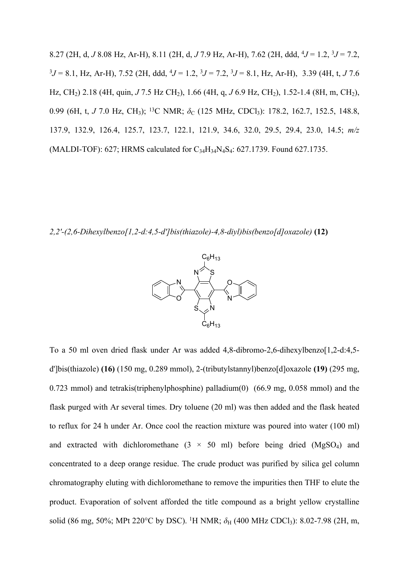8.27 (2H, d, *J* 8.08 Hz, Ar-H), 8.11 (2H, d, *J* 7.9 Hz, Ar-H), 7.62 (2H, ddd, <sup>4</sup>*J* = 1.2, <sup>3</sup>*J* = 7.2,  $3J = 8.1$ , Hz, Ar-H), 7.52 (2H, ddd,  $4J = 1.2$ ,  $3J = 7.2$ ,  $3J = 8.1$ , Hz, Ar-H), 3.39 (4H, t, *J* 7.6 Hz, CH<sub>2</sub>) 2.18 (4H, quin, *J* 7.5 Hz CH<sub>2</sub>), 1.66 (4H, q, *J* 6.9 Hz, CH<sub>2</sub>), 1.52-1.4 (8H, m, CH<sub>2</sub>), 0.99 (6H, t, *J* 7.0 Hz, CH<sub>3</sub>); <sup>13</sup>C NMR; *δ*<sub>C</sub> (125 MHz, CDCl<sub>3</sub>): 178.2, 162.7, 152.5, 148.8, 137.9, 132.9, 126.4, 125.7, 123.7, 122.1, 121.9, 34.6, 32.0, 29.5, 29.4, 23.0, 14.5; *m/z* (MALDI-TOF): 627; HRMS calculated for  $C_{34}H_{34}N_4S_4$ : 627.1739. Found 627.1735.

*2,2'-(2,6-Dihexylbenzo[1,2-d:4,5-d']bis(thiazole)-4,8-diyl)bis(benzo[d]oxazole)* **(12)**



To a 50 ml oven dried flask under Ar was added 4,8-dibromo-2,6-dihexylbenzo[1,2-d:4,5 d']bis(thiazole) **(16)** (150 mg, 0.289 mmol), 2-(tributylstannyl)benzo[d]oxazole **(19)** (295 mg, 0.723 mmol) and tetrakis(triphenylphosphine) palladium(0) (66.9 mg, 0.058 mmol) and the flask purged with Ar several times. Dry toluene (20 ml) was then added and the flask heated to reflux for 24 h under Ar. Once cool the reaction mixture was poured into water (100 ml) and extracted with dichloromethane  $(3 \times 50 \text{ ml})$  before being dried  $(MgSO_4)$  and concentrated to a deep orange residue. The crude product was purified by silica gel column chromatography eluting with dichloromethane to remove the impurities then THF to elute the product. Evaporation of solvent afforded the title compound as a bright yellow crystalline solid (86 mg, 50%; MPt 220°C by DSC). <sup>1</sup>H NMR; δ<sub>H</sub> (400 MHz CDCl<sub>3</sub>): 8.02-7.98 (2H, m,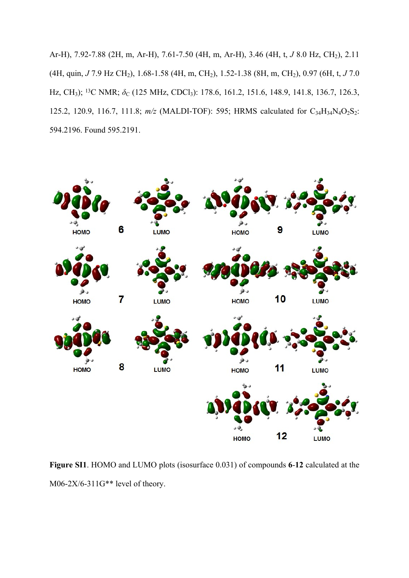Ar-H), 7.92-7.88 (2H, m, Ar-H), 7.61-7.50 (4H, m, Ar-H), 3.46 (4H, t, *J* 8.0 Hz, CH2), 2.11 (4H, quin, *J* 7.9 Hz CH2), 1.68-1.58 (4H, m, CH2), 1.52-1.38 (8H, m, CH2), 0.97 (6H, t, *J* 7.0 Hz, CH<sub>3</sub>); <sup>13</sup>C NMR; δ<sub>C</sub> (125 MHz, CDCl<sub>3</sub>): 178.6, 161.2, 151.6, 148.9, 141.8, 136.7, 126.3, 125.2, 120.9, 116.7, 111.8;  $m/z$  (MALDI-TOF): 595; HRMS calculated for  $C_{34}H_{34}N_4O_2S_2$ : 594.2196. Found 595.2191.



**Figure SI1**. HOMO and LUMO plots (isosurface 0.031) of compounds **6**-**12** calculated at the M06-2X/6-311G\*\* level of theory.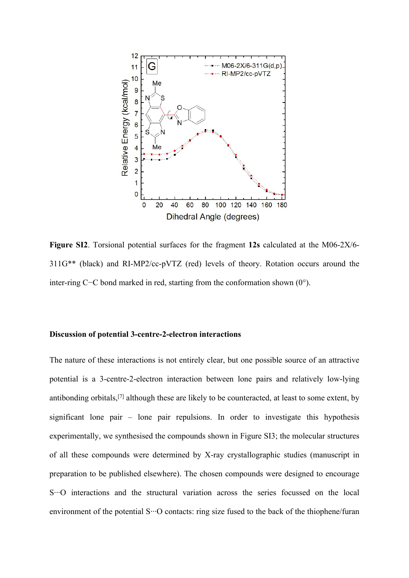

**Figure SI2**. Torsional potential surfaces for the fragment **12s** calculated at the M06-2X/6- 311G\*\* (black) and RI-MP2/cc-pVTZ (red) levels of theory. Rotation occurs around the inter-ring C−C bond marked in red, starting from the conformation shown (0°).

## **Discussion of potential 3-centre-2-electron interactions**

The nature of these interactions is not entirely clear, but one possible source of an attractive potential is a 3-centre-2-electron interaction between lone pairs and relatively low-lying antibonding orbitals,[\[7](#page-19-0)] although these are likely to be counteracted, at least to some extent, by significant lone pair – lone pair repulsions. In order to investigate this hypothesis experimentally, we synthesised the compounds shown in Figure SI3; the molecular structures of all these compounds were determined by X-ray crystallographic studies (manuscript in preparation to be published elsewhere). The chosen compounds were designed to encourage S∙∙∙O interactions and the structural variation across the series focussed on the local environment of the potential S∙∙∙O contacts: ring size fused to the back of the thiophene/furan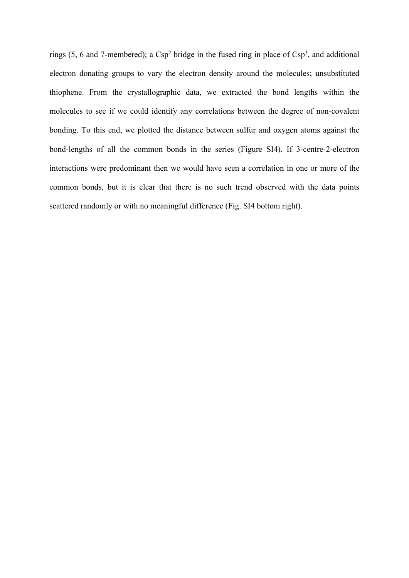rings  $(5, 6$  and 7-membered); a Csp<sup>2</sup> bridge in the fused ring in place of Csp<sup>3</sup>, and additional electron donating groups to vary the electron density around the molecules; unsubstituted thiophene. From the crystallographic data, we extracted the bond lengths within the molecules to see if we could identify any correlations between the degree of non-covalent bonding. To this end, we plotted the distance between sulfur and oxygen atoms against the bond-lengths of all the common bonds in the series (Figure SI4). If 3-centre-2-electron interactions were predominant then we would have seen a correlation in one or more of the common bonds, but it is clear that there is no such trend observed with the data points scattered randomly or with no meaningful difference (Fig. SI4 bottom right).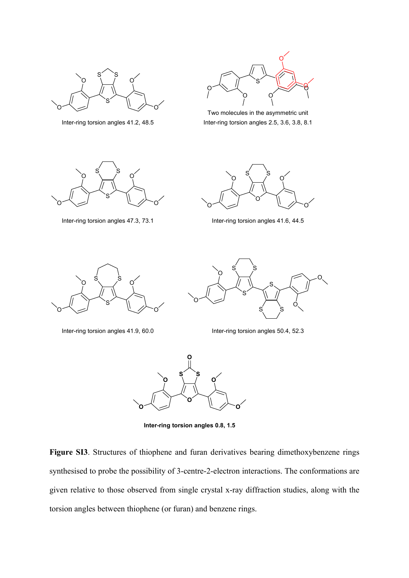

Inter-ring torsion angles 41.2, 48.5



Two molecules in the asymmetric unit Inter-ring torsion angles 2.5, 3.6, 3.8, 8.1



Inter-ring torsion angles 47.3, 73.1 Inter-ring torsion angles 41.6, 44.5





Inter-ring torsion angles 41.9, 60.0 Inter-ring torsion angles 50.4, 52.3





**Inter-ring torsion angles 0.8, 1.5**

**Figure SI3**. Structures of thiophene and furan derivatives bearing dimethoxybenzene rings synthesised to probe the possibility of 3-centre-2-electron interactions. The conformations are given relative to those observed from single crystal x-ray diffraction studies, along with the torsion angles between thiophene (or furan) and benzene rings.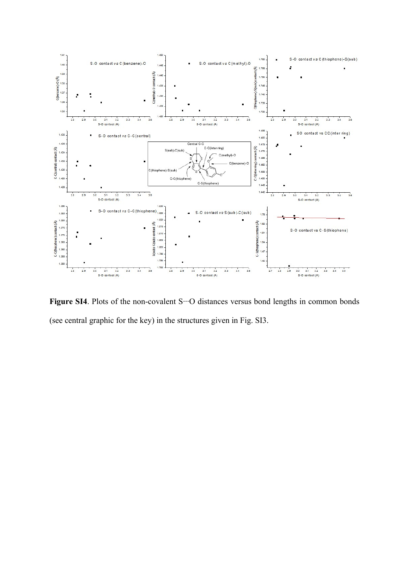

**Figure SI4**. Plots of the non-covalent S∙∙∙O distances versus bond lengths in common bonds (see central graphic for the key) in the structures given in Fig. SI3.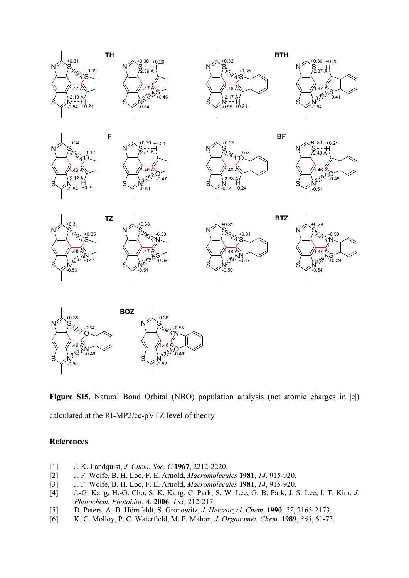

**Figure SI5**. Natural Bond Orbital (NBO) population analysis (net atomic charges in |e|) calculated at the RI-MP2/cc-pVTZ level of theory

# **References**

- <span id="page-18-0"></span>[1] J. K. Landquist, *J. Chem. Soc. C* **1967**, 2212-2220.
- <span id="page-18-1"></span>[2] J. F. Wolfe, B. H. Loo, F. E. Arnold, *Macromolecules* **1981**, *14*, 915-920.
- <span id="page-18-2"></span>[3] J. F. Wolfe, B. H. Loo, F. E. Arnold, *Macromolecules* **1981**, *14*, 915-920.
- <span id="page-18-3"></span>[4] J.-G. Kang, H.-G. Cho, S. K. Kang, C. Park, S. W. Lee, G. B. Park, J. S. Lee, I. T. Kim, *J. Photochem. Photobiol. A.* **2006**, *183*, 212-217.
- <span id="page-18-4"></span>[5] D. Peters, A.-B. Hörnfeldt, S. Gronowitz, *J. Heterocycl. Chem.* **1990**, *27*, 2165-2173.
- <span id="page-18-5"></span>[6] K. C. Molloy, P. C. Waterfield, M. F. Mahon, *J. Organomet. Chem.* **1989**, *365*, 61-73.